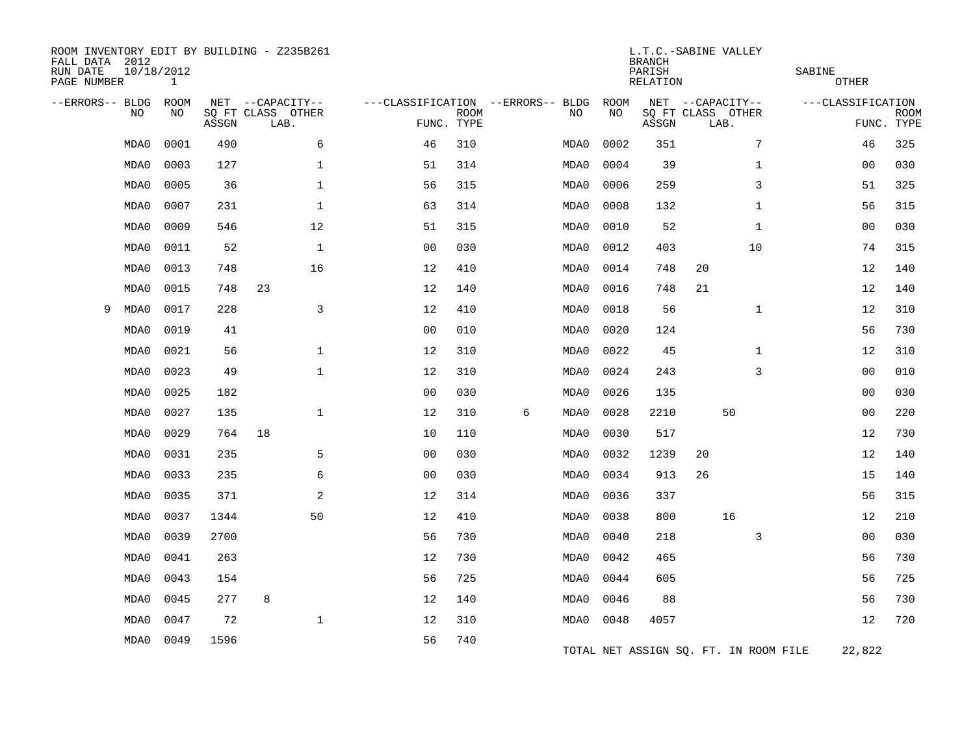| FALL DATA 2012<br>RUN DATE<br>PAGE NUMBER |      | 10/18/2012<br>$\mathbf{1}$ |       | ROOM INVENTORY EDIT BY BUILDING - Z235B261 |                                   | L.T.C.-SABINE VALLEY<br><b>BRANCH</b><br>PARISH<br>SABINE<br><b>OTHER</b><br>RELATION |   |      |            |       |                                       |              |                   |                           |
|-------------------------------------------|------|----------------------------|-------|--------------------------------------------|-----------------------------------|---------------------------------------------------------------------------------------|---|------|------------|-------|---------------------------------------|--------------|-------------------|---------------------------|
| --ERRORS-- BLDG                           | NO   | <b>ROOM</b><br>NO          |       | NET --CAPACITY--<br>SQ FT CLASS OTHER      | ---CLASSIFICATION --ERRORS-- BLDG |                                                                                       |   | NO   | ROOM<br>NO |       | NET --CAPACITY--<br>SQ FT CLASS OTHER |              | ---CLASSIFICATION |                           |
|                                           |      |                            | ASSGN | LAB.                                       |                                   | <b>ROOM</b><br>FUNC. TYPE                                                             |   |      |            | ASSGN | LAB.                                  |              |                   | <b>ROOM</b><br>FUNC. TYPE |
|                                           | MDA0 | 0001                       | 490   | 6                                          | 46                                | 310                                                                                   |   | MDA0 | 0002       | 351   |                                       | 7            | 46                | 325                       |
|                                           | MDA0 | 0003                       | 127   | $\mathbf 1$                                | 51                                | 314                                                                                   |   | MDA0 | 0004       | 39    |                                       | $\mathbf{1}$ | 00                | 030                       |
|                                           | MDA0 | 0005                       | 36    | $\mathbf 1$                                | 56                                | 315                                                                                   |   | MDA0 | 0006       | 259   |                                       | 3            | 51                | 325                       |
|                                           | MDA0 | 0007                       | 231   | $\mathbf{1}$                               | 63                                | 314                                                                                   |   | MDA0 | 0008       | 132   |                                       | $\mathbf{1}$ | 56                | 315                       |
|                                           | MDA0 | 0009                       | 546   | 12                                         | 51                                | 315                                                                                   |   | MDA0 | 0010       | 52    |                                       | $\mathbf{1}$ | 00                | 030                       |
|                                           | MDA0 | 0011                       | 52    | $\mathbf{1}$                               | 0 <sub>0</sub>                    | 030                                                                                   |   | MDA0 | 0012       | 403   |                                       | 10           | 74                | 315                       |
|                                           | MDA0 | 0013                       | 748   | 16                                         | 12                                | 410                                                                                   |   | MDA0 | 0014       | 748   | 20                                    |              | 12                | 140                       |
|                                           | MDA0 | 0015                       | 748   | 23                                         | 12                                | 140                                                                                   |   | MDA0 | 0016       | 748   | 21                                    |              | 12                | 140                       |
| 9                                         | MDA0 | 0017                       | 228   | 3                                          | 12                                | 410                                                                                   |   | MDA0 | 0018       | 56    |                                       | $\mathbf{1}$ | 12                | 310                       |
|                                           | MDA0 | 0019                       | 41    |                                            | 0 <sub>0</sub>                    | 010                                                                                   |   | MDA0 | 0020       | 124   |                                       |              | 56                | 730                       |
|                                           | MDA0 | 0021                       | 56    | $\mathbf 1$                                | 12                                | 310                                                                                   |   | MDA0 | 0022       | 45    |                                       | $\mathbf{1}$ | 12                | 310                       |
|                                           | MDA0 | 0023                       | 49    | $\mathbf{1}$                               | 12                                | 310                                                                                   |   | MDA0 | 0024       | 243   |                                       | 3            | 0 <sub>0</sub>    | 010                       |
|                                           | MDA0 | 0025                       | 182   |                                            | 0 <sub>0</sub>                    | 030                                                                                   |   | MDA0 | 0026       | 135   |                                       |              | 00                | 030                       |
|                                           | MDA0 | 0027                       | 135   | $\mathbf 1$                                | 12                                | 310                                                                                   | 6 | MDA0 | 0028       | 2210  | 50                                    |              | 00                | 220                       |
|                                           | MDA0 | 0029                       | 764   | 18                                         | 10                                | 110                                                                                   |   | MDA0 | 0030       | 517   |                                       |              | 12                | 730                       |
|                                           | MDA0 | 0031                       | 235   | 5                                          | 0 <sub>0</sub>                    | 030                                                                                   |   | MDA0 | 0032       | 1239  | 20                                    |              | 12                | 140                       |
|                                           | MDA0 | 0033                       | 235   | 6                                          | 0 <sub>0</sub>                    | 030                                                                                   |   | MDA0 | 0034       | 913   | 26                                    |              | 15                | 140                       |
|                                           | MDA0 | 0035                       | 371   | 2                                          | 12                                | 314                                                                                   |   | MDA0 | 0036       | 337   |                                       |              | 56                | 315                       |
|                                           | MDA0 | 0037                       | 1344  | 50                                         | 12                                | 410                                                                                   |   | MDA0 | 0038       | 800   | 16                                    |              | 12                | 210                       |
|                                           | MDA0 | 0039                       | 2700  |                                            | 56                                | 730                                                                                   |   | MDA0 | 0040       | 218   |                                       | 3            | 0 <sub>0</sub>    | 030                       |
|                                           | MDA0 | 0041                       | 263   |                                            | 12                                | 730                                                                                   |   | MDA0 | 0042       | 465   |                                       |              | 56                | 730                       |
|                                           | MDA0 | 0043                       | 154   |                                            | 56                                | 725                                                                                   |   | MDA0 | 0044       | 605   |                                       |              | 56                | 725                       |
|                                           | MDA0 | 0045                       | 277   | 8                                          | 12                                | 140                                                                                   |   | MDA0 | 0046       | 88    |                                       |              | 56                | 730                       |
|                                           | MDA0 | 0047                       | 72    | $\mathbf{1}$                               | 12                                | 310                                                                                   |   | MDA0 | 0048       | 4057  |                                       |              | 12                | 720                       |
|                                           | MDA0 | 0049                       | 1596  |                                            | 56                                | 740                                                                                   |   |      |            |       | TOTAL NET ASSIGN SQ. FT. IN ROOM FILE |              | 22,822            |                           |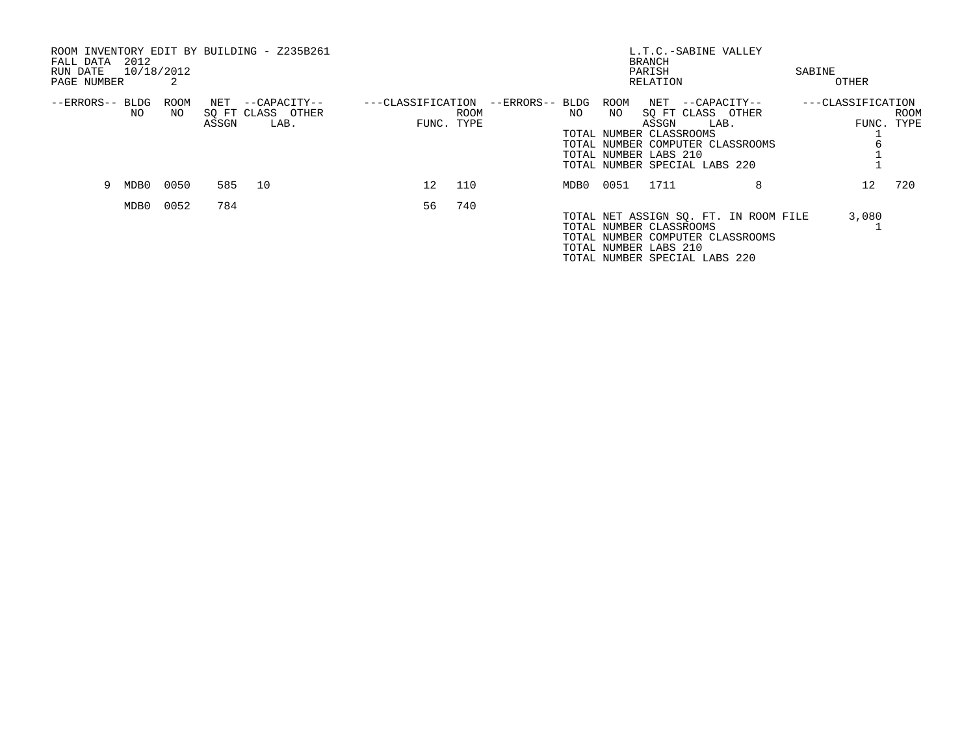| ROOM INVENTORY EDIT BY BUILDING - Z235B261<br>2012<br>FALL DATA<br>10/18/2012<br>RUN DATE<br>PAGE NUMBER | 2           |              |                                           |                   |                    |                 |           |            | <b>BRANCH</b><br>PARISH<br>RELATION                       | L.T.C.-SABINE VALLEY                                                                                               | SABINE<br>OTHER   |                    |
|----------------------------------------------------------------------------------------------------------|-------------|--------------|-------------------------------------------|-------------------|--------------------|-----------------|-----------|------------|-----------------------------------------------------------|--------------------------------------------------------------------------------------------------------------------|-------------------|--------------------|
| --ERRORS-- BLDG<br>NO                                                                                    | ROOM<br>NO. | NET<br>ASSGN | --CAPACITY--<br>SQ FT CLASS OTHER<br>LAB. | ---CLASSIFICATION | ROOM<br>FUNC. TYPE | --ERRORS-- BLDG | NO.       | ROOM<br>NO | ASSGN<br>TOTAL NUMBER CLASSROOMS<br>TOTAL NUMBER LABS 210 | NET --CAPACITY--<br>SO FT CLASS OTHER<br>LAB.<br>TOTAL NUMBER COMPUTER CLASSROOMS<br>TOTAL NUMBER SPECIAL LABS 220 | ---CLASSIFICATION | ROOM<br>FUNC. TYPE |
| 9<br>MDB0                                                                                                | 0050        | 585          | 10                                        | 12 <sup>°</sup>   | 110                |                 | MDB0 0051 |            | 1711                                                      | 8                                                                                                                  | 12 <sup>°</sup>   | 720                |
| MDB0                                                                                                     | 0052        | 784          |                                           | 56                | 740                |                 |           |            | TOTAL NUMBER CLASSROOMS<br>TOTAL NUMBER LABS 210          | TOTAL NET ASSIGN SQ. FT. IN ROOM FILE<br>TOTAL NUMBER COMPUTER CLASSROOMS<br>TOTAL NUMBER SPECIAL LABS 220         | 3,080             |                    |